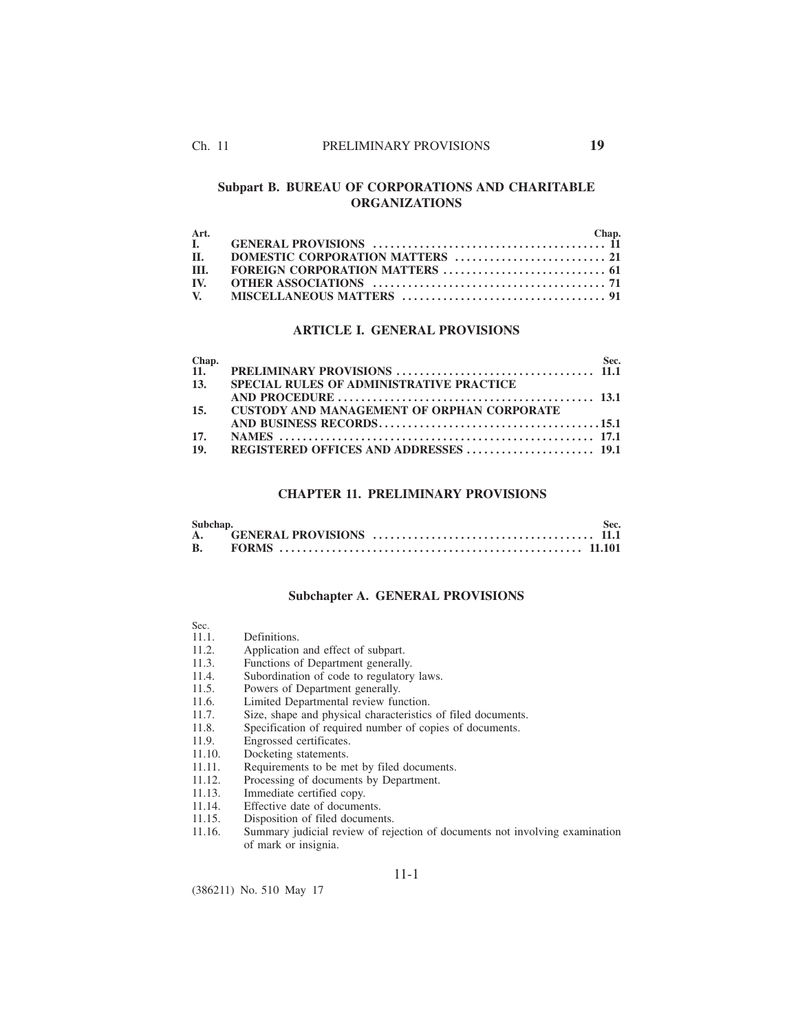# **Subpart B. BUREAU OF CORPORATIONS AND CHARITABLE ORGANIZATIONS**

| Art.       | Chap. |
|------------|-------|
|            |       |
| <b>II.</b> |       |
| III.       |       |
|            |       |
|            |       |

## **ARTICLE I. GENERAL PROVISIONS**

| Chap. |                                                   | Sec. |
|-------|---------------------------------------------------|------|
| 11.   |                                                   |      |
| 13.   | <b>SPECIAL RULES OF ADMINISTRATIVE PRACTICE</b>   |      |
|       |                                                   |      |
| 15.   | <b>CUSTODY AND MANAGEMENT OF ORPHAN CORPORATE</b> |      |
|       |                                                   |      |
| 17.   |                                                   |      |
|       |                                                   |      |

# **CHAPTER 11. PRELIMINARY PROVISIONS**

| Subchap. | Sec. |
|----------|------|
|          |      |
|          |      |

## **Subchapter A. GENERAL PROVISIONS**

| ۰,<br>$\sim$<br>ł | ۰.<br>× |  |
|-------------------|---------|--|
|                   |         |  |

- Definitions.
- 11.2. Application and effect of subpart.<br>11.3. Functions of Department generally
- 11.3. Functions of Department generally.<br>11.4. Subordination of code to regulatory
- 11.4. Subordination of code to regulatory laws.<br>11.5. Powers of Department generally.
- 11.5. Powers of Department generally.<br>11.6. Limited Departmental review fun
- 11.6. Limited Departmental review function.<br>11.7. Size, shape and physical characteristics
- 11.7. Size, shape and physical characteristics of filed documents.<br>11.8. Specification of required number of copies of documents.
- 11.8. Specification of required number of copies of documents.<br>11.9. Engrossed certificates.
- 11.9. Engrossed certificates.<br>11.10. Docketing statements.
- 11.10. Docketing statements.<br>11.11. Requirements to be mo
- 11.11. Requirements to be met by filed documents.<br>11.12. Processing of documents by Department.
- 11.12. Processing of documents by Department.<br>11.13. Immediate certified copy.
- 11.13. Immediate certified copy.<br>11.14. Effective date of documer
- 11.14. Effective date of documents.<br>11.15. Disposition of filed documen
- 11.15. Disposition of filed documents.<br>11.16. Summary judicial review of rejection
- Summary judicial review of rejection of documents not involving examination of mark or insignia.

11-1

(386211) No. 510 May 17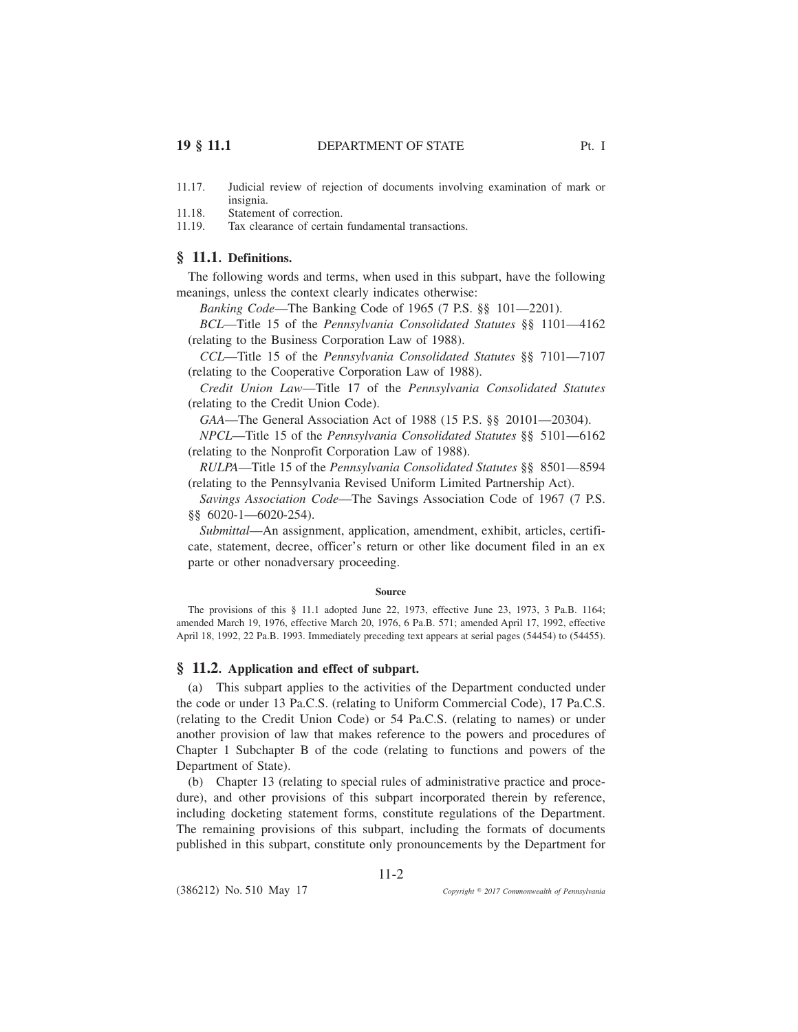- 11.17. Judicial review of rejection of documents involving examination of mark or insignia.
- 11.18. Statement of correction.
- 11.19. Tax clearance of certain fundamental transactions.

## **§ 11.1. Definitions.**

The following words and terms, when used in this subpart, have the following meanings, unless the context clearly indicates otherwise:

*Banking Code*—The Banking Code of 1965 (7 P.S. §§ 101—2201).

*BCL*—Title 15 of the *Pennsylvania Consolidated Statutes* §§ 1101—4162 (relating to the Business Corporation Law of 1988).

*CCL*—Title 15 of the *Pennsylvania Consolidated Statutes* §§ 7101—7107 (relating to the Cooperative Corporation Law of 1988).

*Credit Union Law*—Title 17 of the *Pennsylvania Consolidated Statutes* (relating to the Credit Union Code).

*GAA*—The General Association Act of 1988 (15 P.S. §§ 20101—20304).

*NPCL*—Title 15 of the *Pennsylvania Consolidated Statutes* §§ 5101—6162 (relating to the Nonprofit Corporation Law of 1988).

*RULPA*—Title 15 of the *Pennsylvania Consolidated Statutes* §§ 8501—8594 (relating to the Pennsylvania Revised Uniform Limited Partnership Act).

*Savings Association Code*—The Savings Association Code of 1967 (7 P.S. §§ 6020-1—6020-254).

*Submittal*—An assignment, application, amendment, exhibit, articles, certificate, statement, decree, officer's return or other like document filed in an ex parte or other nonadversary proceeding.

#### **Source**

The provisions of this § 11.1 adopted June 22, 1973, effective June 23, 1973, 3 Pa.B. 1164; amended March 19, 1976, effective March 20, 1976, 6 Pa.B. 571; amended April 17, 1992, effective April 18, 1992, 22 Pa.B. 1993. Immediately preceding text appears at serial pages (54454) to (54455).

## **§ 11.2. Application and effect of subpart.**

(a) This subpart applies to the activities of the Department conducted under the code or under 13 Pa.C.S. (relating to Uniform Commercial Code), 17 Pa.C.S. (relating to the Credit Union Code) or 54 Pa.C.S. (relating to names) or under another provision of law that makes reference to the powers and procedures of Chapter 1 Subchapter B of the code (relating to functions and powers of the Department of State).

(b) Chapter 13 (relating to special rules of administrative practice and procedure), and other provisions of this subpart incorporated therein by reference, including docketing statement forms, constitute regulations of the Department. The remaining provisions of this subpart, including the formats of documents published in this subpart, constitute only pronouncements by the Department for

11-2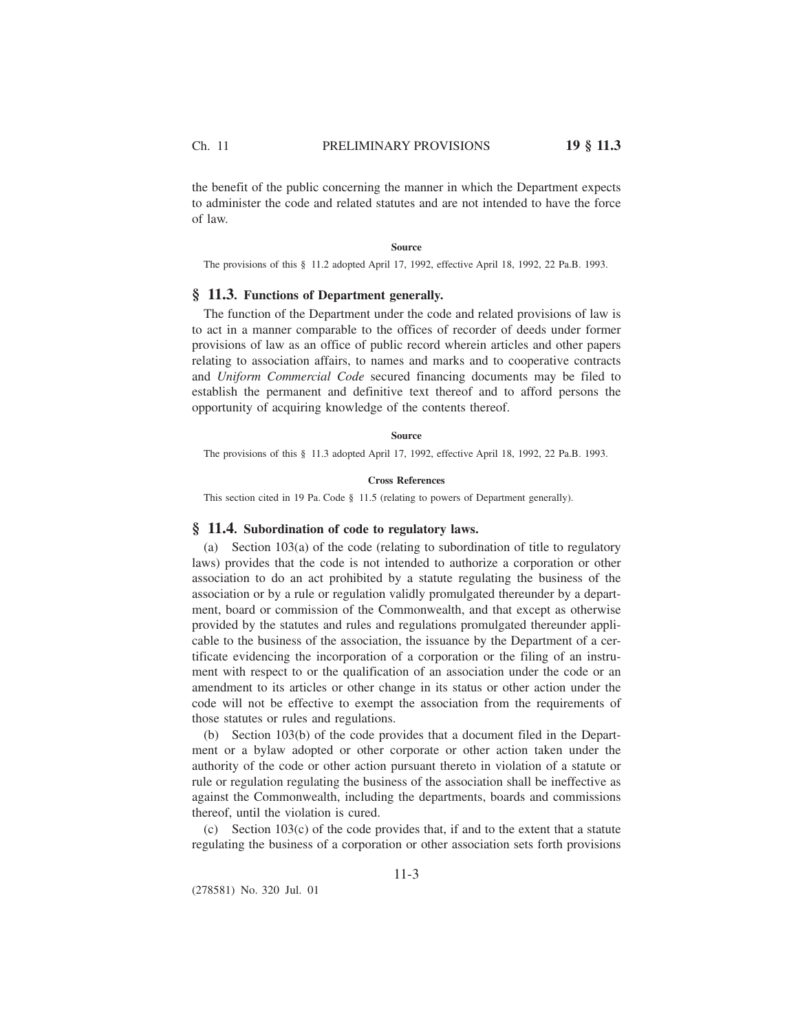the benefit of the public concerning the manner in which the Department expects to administer the code and related statutes and are not intended to have the force of law.

#### **Source**

The provisions of this § 11.2 adopted April 17, 1992, effective April 18, 1992, 22 Pa.B. 1993.

## **§ 11.3. Functions of Department generally.**

The function of the Department under the code and related provisions of law is to act in a manner comparable to the offices of recorder of deeds under former provisions of law as an office of public record wherein articles and other papers relating to association affairs, to names and marks and to cooperative contracts and *Uniform Commercial Code* secured financing documents may be filed to establish the permanent and definitive text thereof and to afford persons the opportunity of acquiring knowledge of the contents thereof.

#### **Source**

The provisions of this § 11.3 adopted April 17, 1992, effective April 18, 1992, 22 Pa.B. 1993.

### **Cross References**

This section cited in 19 Pa. Code § 11.5 (relating to powers of Department generally).

## **§ 11.4. Subordination of code to regulatory laws.**

(a) Section 103(a) of the code (relating to subordination of title to regulatory laws) provides that the code is not intended to authorize a corporation or other association to do an act prohibited by a statute regulating the business of the association or by a rule or regulation validly promulgated thereunder by a department, board or commission of the Commonwealth, and that except as otherwise provided by the statutes and rules and regulations promulgated thereunder applicable to the business of the association, the issuance by the Department of a certificate evidencing the incorporation of a corporation or the filing of an instrument with respect to or the qualification of an association under the code or an amendment to its articles or other change in its status or other action under the code will not be effective to exempt the association from the requirements of those statutes or rules and regulations.

(b) Section 103(b) of the code provides that a document filed in the Department or a bylaw adopted or other corporate or other action taken under the authority of the code or other action pursuant thereto in violation of a statute or rule or regulation regulating the business of the association shall be ineffective as against the Commonwealth, including the departments, boards and commissions thereof, until the violation is cured.

(c) Section 103(c) of the code provides that, if and to the extent that a statute regulating the business of a corporation or other association sets forth provisions

(278581) No. 320 Jul. 01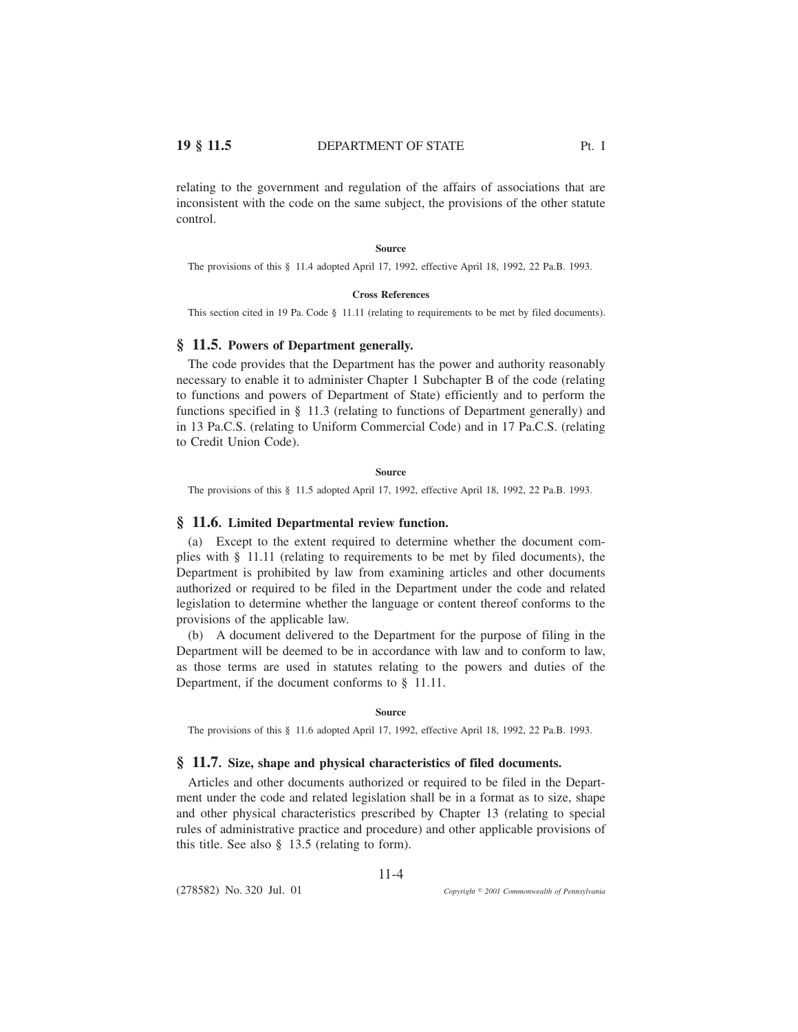relating to the government and regulation of the affairs of associations that are inconsistent with the code on the same subject, the provisions of the other statute control.

#### **Source**

The provisions of this § 11.4 adopted April 17, 1992, effective April 18, 1992, 22 Pa.B. 1993.

#### **Cross References**

This section cited in 19 Pa. Code § 11.11 (relating to requirements to be met by filed documents).

## **§ 11.5. Powers of Department generally.**

The code provides that the Department has the power and authority reasonably necessary to enable it to administer Chapter 1 Subchapter B of the code (relating to functions and powers of Department of State) efficiently and to perform the functions specified in § 11.3 (relating to functions of Department generally) and in 13 Pa.C.S. (relating to Uniform Commercial Code) and in 17 Pa.C.S. (relating to Credit Union Code).

### **Source**

The provisions of this § 11.5 adopted April 17, 1992, effective April 18, 1992, 22 Pa.B. 1993.

## **§ 11.6. Limited Departmental review function.**

(a) Except to the extent required to determine whether the document complies with § 11.11 (relating to requirements to be met by filed documents), the Department is prohibited by law from examining articles and other documents authorized or required to be filed in the Department under the code and related legislation to determine whether the language or content thereof conforms to the provisions of the applicable law.

(b) A document delivered to the Department for the purpose of filing in the Department will be deemed to be in accordance with law and to conform to law, as those terms are used in statutes relating to the powers and duties of the Department, if the document conforms to § 11.11.

#### **Source**

The provisions of this § 11.6 adopted April 17, 1992, effective April 18, 1992, 22 Pa.B. 1993.

## **§ 11.7. Size, shape and physical characteristics of filed documents.**

Articles and other documents authorized or required to be filed in the Department under the code and related legislation shall be in a format as to size, shape and other physical characteristics prescribed by Chapter 13 (relating to special rules of administrative practice and procedure) and other applicable provisions of this title. See also § 13.5 (relating to form).

11-4

(278582) No. 320 Jul. 01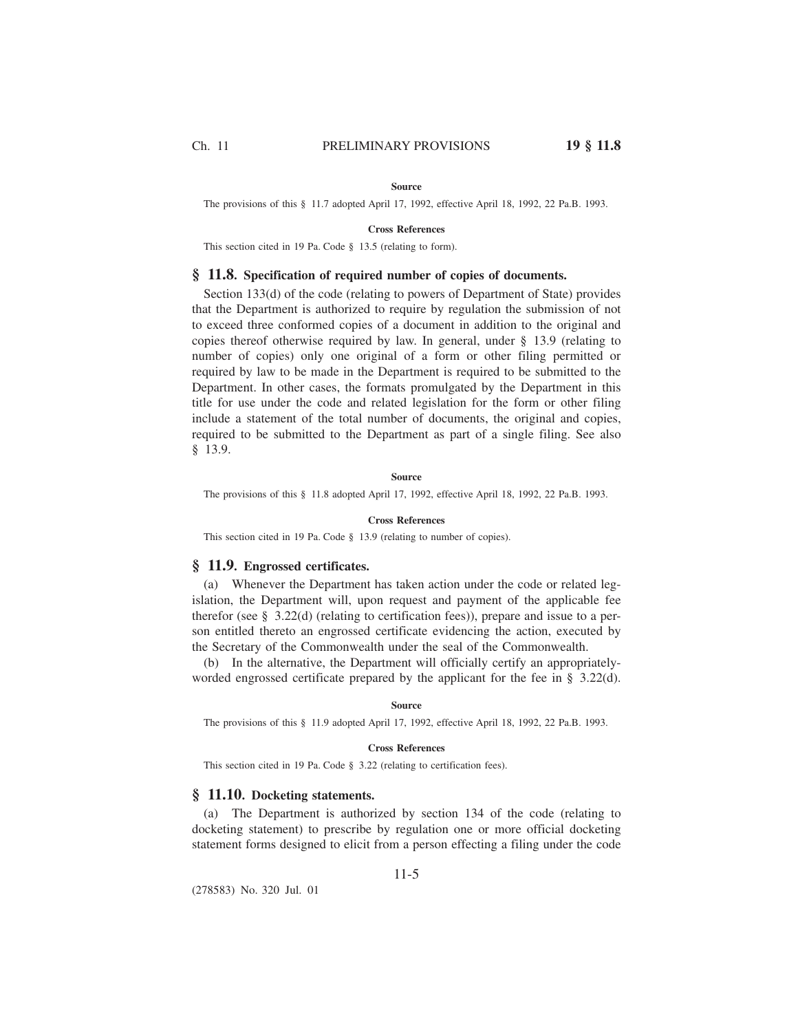#### **Source**

The provisions of this § 11.7 adopted April 17, 1992, effective April 18, 1992, 22 Pa.B. 1993.

### **Cross References**

This section cited in 19 Pa. Code § 13.5 (relating to form).

## **§ 11.8. Specification of required number of copies of documents.**

Section 133(d) of the code (relating to powers of Department of State) provides that the Department is authorized to require by regulation the submission of not to exceed three conformed copies of a document in addition to the original and copies thereof otherwise required by law. In general, under § 13.9 (relating to number of copies) only one original of a form or other filing permitted or required by law to be made in the Department is required to be submitted to the Department. In other cases, the formats promulgated by the Department in this title for use under the code and related legislation for the form or other filing include a statement of the total number of documents, the original and copies, required to be submitted to the Department as part of a single filing. See also § 13.9.

### **Source**

The provisions of this § 11.8 adopted April 17, 1992, effective April 18, 1992, 22 Pa.B. 1993.

### **Cross References**

This section cited in 19 Pa. Code § 13.9 (relating to number of copies).

## **§ 11.9. Engrossed certificates.**

(a) Whenever the Department has taken action under the code or related legislation, the Department will, upon request and payment of the applicable fee therefor (see § 3.22(d) (relating to certification fees)), prepare and issue to a person entitled thereto an engrossed certificate evidencing the action, executed by the Secretary of the Commonwealth under the seal of the Commonwealth.

(b) In the alternative, the Department will officially certify an appropriatelyworded engrossed certificate prepared by the applicant for the fee in § 3.22(d).

#### **Source**

The provisions of this § 11.9 adopted April 17, 1992, effective April 18, 1992, 22 Pa.B. 1993.

#### **Cross References**

This section cited in 19 Pa. Code § 3.22 (relating to certification fees).

## **§ 11.10. Docketing statements.**

(a) The Department is authorized by section 134 of the code (relating to docketing statement) to prescribe by regulation one or more official docketing statement forms designed to elicit from a person effecting a filing under the code

(278583) No. 320 Jul. 01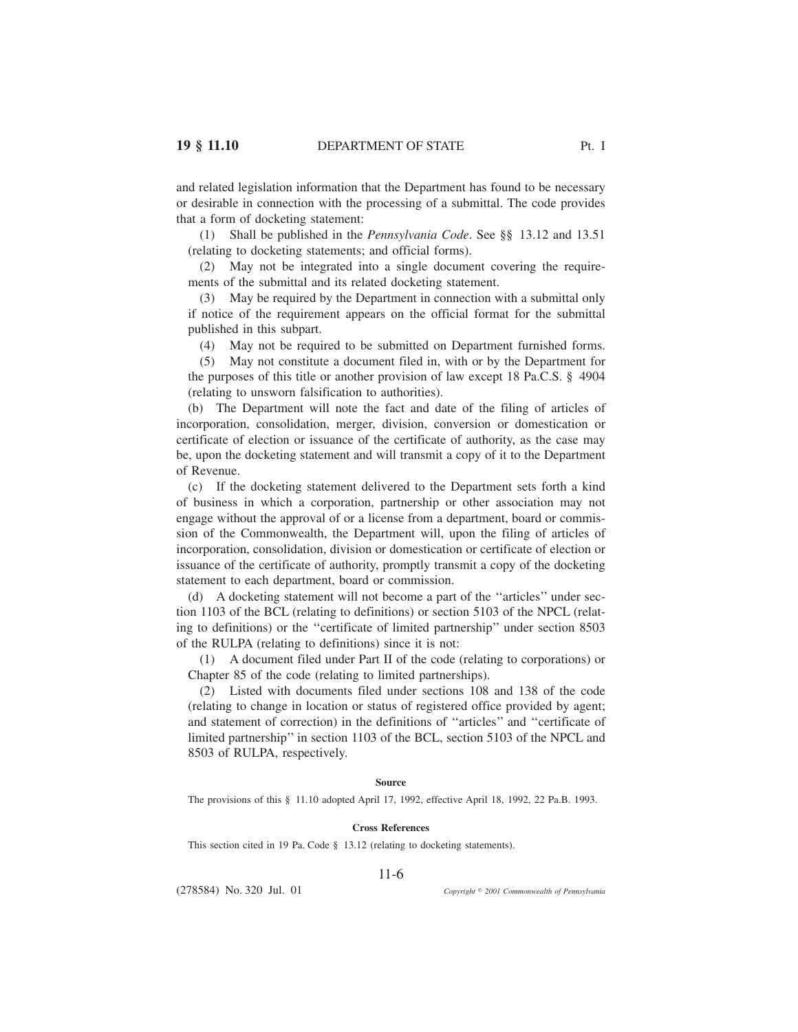and related legislation information that the Department has found to be necessary or desirable in connection with the processing of a submittal. The code provides that a form of docketing statement:

(1) Shall be published in the *Pennsylvania Code*. See §§ 13.12 and 13.51 (relating to docketing statements; and official forms).

(2) May not be integrated into a single document covering the requirements of the submittal and its related docketing statement.

(3) May be required by the Department in connection with a submittal only if notice of the requirement appears on the official format for the submittal published in this subpart.

(4) May not be required to be submitted on Department furnished forms.

(5) May not constitute a document filed in, with or by the Department for the purposes of this title or another provision of law except 18 Pa.C.S. § 4904 (relating to unsworn falsification to authorities).

(b) The Department will note the fact and date of the filing of articles of incorporation, consolidation, merger, division, conversion or domestication or certificate of election or issuance of the certificate of authority, as the case may be, upon the docketing statement and will transmit a copy of it to the Department of Revenue.

(c) If the docketing statement delivered to the Department sets forth a kind of business in which a corporation, partnership or other association may not engage without the approval of or a license from a department, board or commission of the Commonwealth, the Department will, upon the filing of articles of incorporation, consolidation, division or domestication or certificate of election or issuance of the certificate of authority, promptly transmit a copy of the docketing statement to each department, board or commission.

(d) A docketing statement will not become a part of the ''articles'' under section 1103 of the BCL (relating to definitions) or section 5103 of the NPCL (relating to definitions) or the ''certificate of limited partnership'' under section 8503 of the RULPA (relating to definitions) since it is not:

(1) A document filed under Part II of the code (relating to corporations) or Chapter 85 of the code (relating to limited partnerships).

(2) Listed with documents filed under sections 108 and 138 of the code (relating to change in location or status of registered office provided by agent; and statement of correction) in the definitions of ''articles'' and ''certificate of limited partnership'' in section 1103 of the BCL, section 5103 of the NPCL and 8503 of RULPA, respectively.

### **Source**

The provisions of this § 11.10 adopted April 17, 1992, effective April 18, 1992, 22 Pa.B. 1993.

#### **Cross References**

11-6

This section cited in 19 Pa. Code § 13.12 (relating to docketing statements).

(278584) No. 320 Jul. 01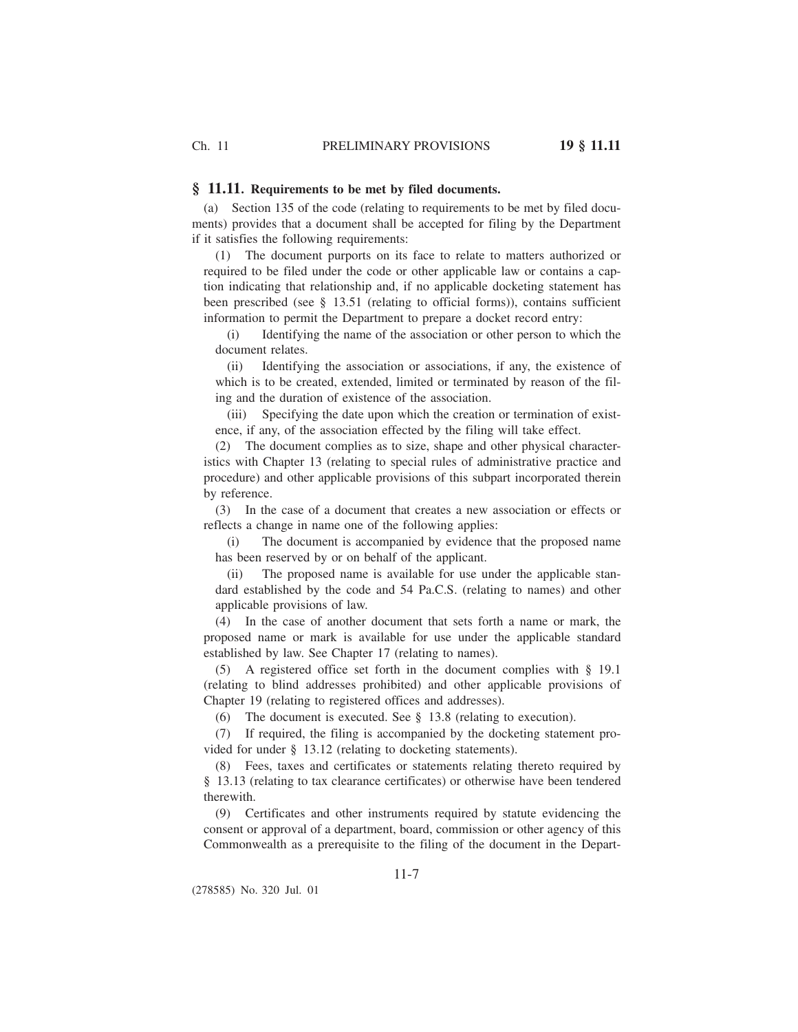### **§ 11.11. Requirements to be met by filed documents.**

(a) Section 135 of the code (relating to requirements to be met by filed documents) provides that a document shall be accepted for filing by the Department if it satisfies the following requirements:

(1) The document purports on its face to relate to matters authorized or required to be filed under the code or other applicable law or contains a caption indicating that relationship and, if no applicable docketing statement has been prescribed (see § 13.51 (relating to official forms)), contains sufficient information to permit the Department to prepare a docket record entry:

(i) Identifying the name of the association or other person to which the document relates.

(ii) Identifying the association or associations, if any, the existence of which is to be created, extended, limited or terminated by reason of the filing and the duration of existence of the association.

(iii) Specifying the date upon which the creation or termination of existence, if any, of the association effected by the filing will take effect.

(2) The document complies as to size, shape and other physical characteristics with Chapter 13 (relating to special rules of administrative practice and procedure) and other applicable provisions of this subpart incorporated therein by reference.

(3) In the case of a document that creates a new association or effects or reflects a change in name one of the following applies:

(i) The document is accompanied by evidence that the proposed name has been reserved by or on behalf of the applicant.

(ii) The proposed name is available for use under the applicable standard established by the code and 54 Pa.C.S. (relating to names) and other applicable provisions of law.

(4) In the case of another document that sets forth a name or mark, the proposed name or mark is available for use under the applicable standard established by law. See Chapter 17 (relating to names).

(5) A registered office set forth in the document complies with § 19.1 (relating to blind addresses prohibited) and other applicable provisions of Chapter 19 (relating to registered offices and addresses).

(6) The document is executed. See § 13.8 (relating to execution).

(7) If required, the filing is accompanied by the docketing statement provided for under § 13.12 (relating to docketing statements).

(8) Fees, taxes and certificates or statements relating thereto required by § 13.13 (relating to tax clearance certificates) or otherwise have been tendered therewith.

(9) Certificates and other instruments required by statute evidencing the consent or approval of a department, board, commission or other agency of this Commonwealth as a prerequisite to the filing of the document in the Depart-

(278585) No. 320 Jul. 01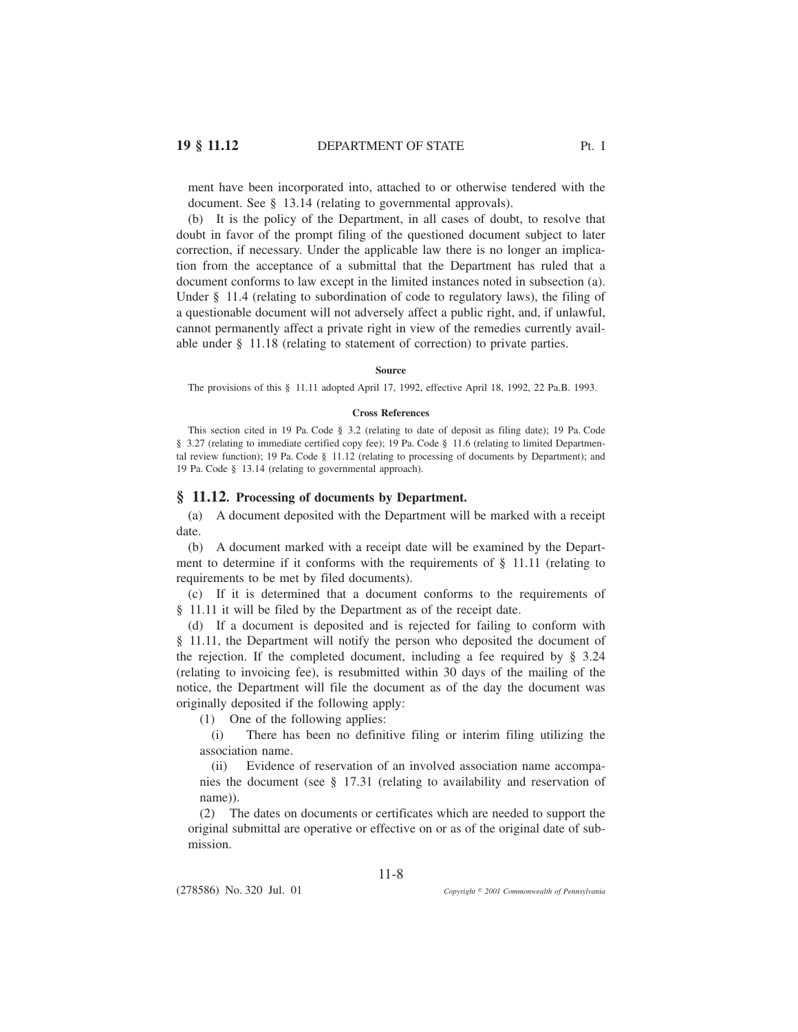ment have been incorporated into, attached to or otherwise tendered with the document. See § 13.14 (relating to governmental approvals).

(b) It is the policy of the Department, in all cases of doubt, to resolve that doubt in favor of the prompt filing of the questioned document subject to later correction, if necessary. Under the applicable law there is no longer an implication from the acceptance of a submittal that the Department has ruled that a document conforms to law except in the limited instances noted in subsection (a). Under § 11.4 (relating to subordination of code to regulatory laws), the filing of a questionable document will not adversely affect a public right, and, if unlawful, cannot permanently affect a private right in view of the remedies currently available under § 11.18 (relating to statement of correction) to private parties.

#### **Source**

The provisions of this § 11.11 adopted April 17, 1992, effective April 18, 1992, 22 Pa.B. 1993.

#### **Cross References**

This section cited in 19 Pa. Code § 3.2 (relating to date of deposit as filing date); 19 Pa. Code § 3.27 (relating to immediate certified copy fee); 19 Pa. Code § 11.6 (relating to limited Departmental review function); 19 Pa. Code § 11.12 (relating to processing of documents by Department); and 19 Pa. Code § 13.14 (relating to governmental approach).

### **§ 11.12. Processing of documents by Department.**

(a) A document deposited with the Department will be marked with a receipt date.

(b) A document marked with a receipt date will be examined by the Department to determine if it conforms with the requirements of § 11.11 (relating to requirements to be met by filed documents).

(c) If it is determined that a document conforms to the requirements of § 11.11 it will be filed by the Department as of the receipt date.

(d) If a document is deposited and is rejected for failing to conform with § 11.11, the Department will notify the person who deposited the document of the rejection. If the completed document, including a fee required by  $\S$  3.24 (relating to invoicing fee), is resubmitted within 30 days of the mailing of the notice, the Department will file the document as of the day the document was originally deposited if the following apply:

(1) One of the following applies:

(i) There has been no definitive filing or interim filing utilizing the association name.

(ii) Evidence of reservation of an involved association name accompanies the document (see § 17.31 (relating to availability and reservation of name)).

(2) The dates on documents or certificates which are needed to support the original submittal are operative or effective on or as of the original date of submission.

11-8

(278586) No. 320 Jul. 01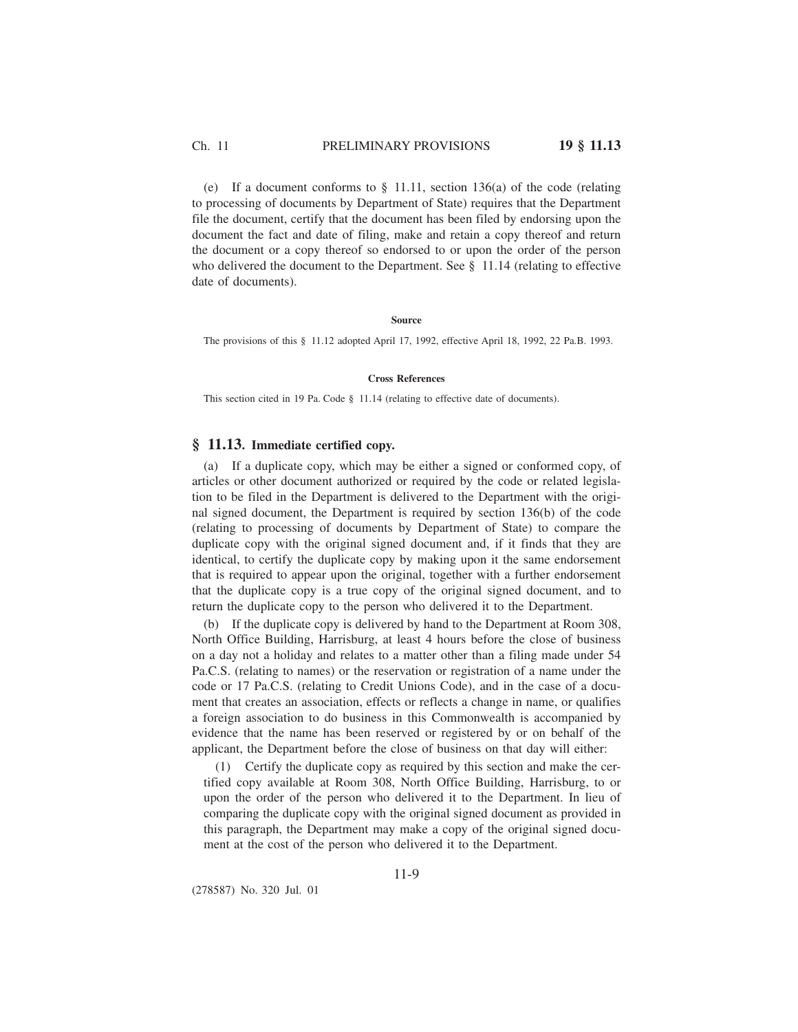Ch. 11 PRELIMINARY PROVISIONS **19 § 11.13**

(e) If a document conforms to § 11.11, section 136(a) of the code (relating to processing of documents by Department of State) requires that the Department file the document, certify that the document has been filed by endorsing upon the document the fact and date of filing, make and retain a copy thereof and return the document or a copy thereof so endorsed to or upon the order of the person who delivered the document to the Department. See § 11.14 (relating to effective date of documents).

## **Source**

The provisions of this § 11.12 adopted April 17, 1992, effective April 18, 1992, 22 Pa.B. 1993.

### **Cross References**

This section cited in 19 Pa. Code § 11.14 (relating to effective date of documents).

## **§ 11.13. Immediate certified copy.**

(a) If a duplicate copy, which may be either a signed or conformed copy, of articles or other document authorized or required by the code or related legislation to be filed in the Department is delivered to the Department with the original signed document, the Department is required by section 136(b) of the code (relating to processing of documents by Department of State) to compare the duplicate copy with the original signed document and, if it finds that they are identical, to certify the duplicate copy by making upon it the same endorsement that is required to appear upon the original, together with a further endorsement that the duplicate copy is a true copy of the original signed document, and to return the duplicate copy to the person who delivered it to the Department.

(b) If the duplicate copy is delivered by hand to the Department at Room 308, North Office Building, Harrisburg, at least 4 hours before the close of business on a day not a holiday and relates to a matter other than a filing made under 54 Pa.C.S. (relating to names) or the reservation or registration of a name under the code or 17 Pa.C.S. (relating to Credit Unions Code), and in the case of a document that creates an association, effects or reflects a change in name, or qualifies a foreign association to do business in this Commonwealth is accompanied by evidence that the name has been reserved or registered by or on behalf of the applicant, the Department before the close of business on that day will either:

(1) Certify the duplicate copy as required by this section and make the certified copy available at Room 308, North Office Building, Harrisburg, to or upon the order of the person who delivered it to the Department. In lieu of comparing the duplicate copy with the original signed document as provided in this paragraph, the Department may make a copy of the original signed document at the cost of the person who delivered it to the Department.

(278587) No. 320 Jul. 01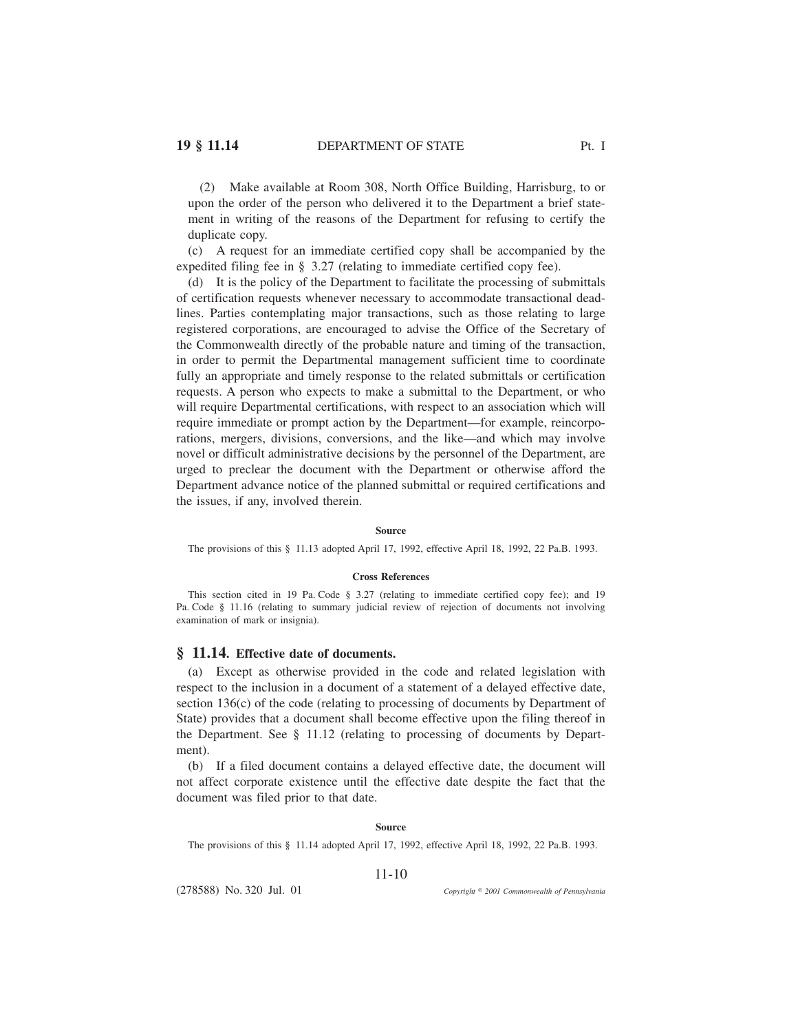(2) Make available at Room 308, North Office Building, Harrisburg, to or upon the order of the person who delivered it to the Department a brief statement in writing of the reasons of the Department for refusing to certify the duplicate copy.

(c) A request for an immediate certified copy shall be accompanied by the expedited filing fee in § 3.27 (relating to immediate certified copy fee).

(d) It is the policy of the Department to facilitate the processing of submittals of certification requests whenever necessary to accommodate transactional deadlines. Parties contemplating major transactions, such as those relating to large registered corporations, are encouraged to advise the Office of the Secretary of the Commonwealth directly of the probable nature and timing of the transaction, in order to permit the Departmental management sufficient time to coordinate fully an appropriate and timely response to the related submittals or certification requests. A person who expects to make a submittal to the Department, or who will require Departmental certifications, with respect to an association which will require immediate or prompt action by the Department—for example, reincorporations, mergers, divisions, conversions, and the like—and which may involve novel or difficult administrative decisions by the personnel of the Department, are urged to preclear the document with the Department or otherwise afford the Department advance notice of the planned submittal or required certifications and the issues, if any, involved therein.

#### **Source**

The provisions of this § 11.13 adopted April 17, 1992, effective April 18, 1992, 22 Pa.B. 1993.

#### **Cross References**

This section cited in 19 Pa. Code § 3.27 (relating to immediate certified copy fee); and 19 Pa. Code § 11.16 (relating to summary judicial review of rejection of documents not involving examination of mark or insignia).

## **§ 11.14. Effective date of documents.**

(a) Except as otherwise provided in the code and related legislation with respect to the inclusion in a document of a statement of a delayed effective date, section 136(c) of the code (relating to processing of documents by Department of State) provides that a document shall become effective upon the filing thereof in the Department. See § 11.12 (relating to processing of documents by Department).

(b) If a filed document contains a delayed effective date, the document will not affect corporate existence until the effective date despite the fact that the document was filed prior to that date.

#### **Source**

The provisions of this § 11.14 adopted April 17, 1992, effective April 18, 1992, 22 Pa.B. 1993.

### 11-10

(278588) No. 320 Jul. 01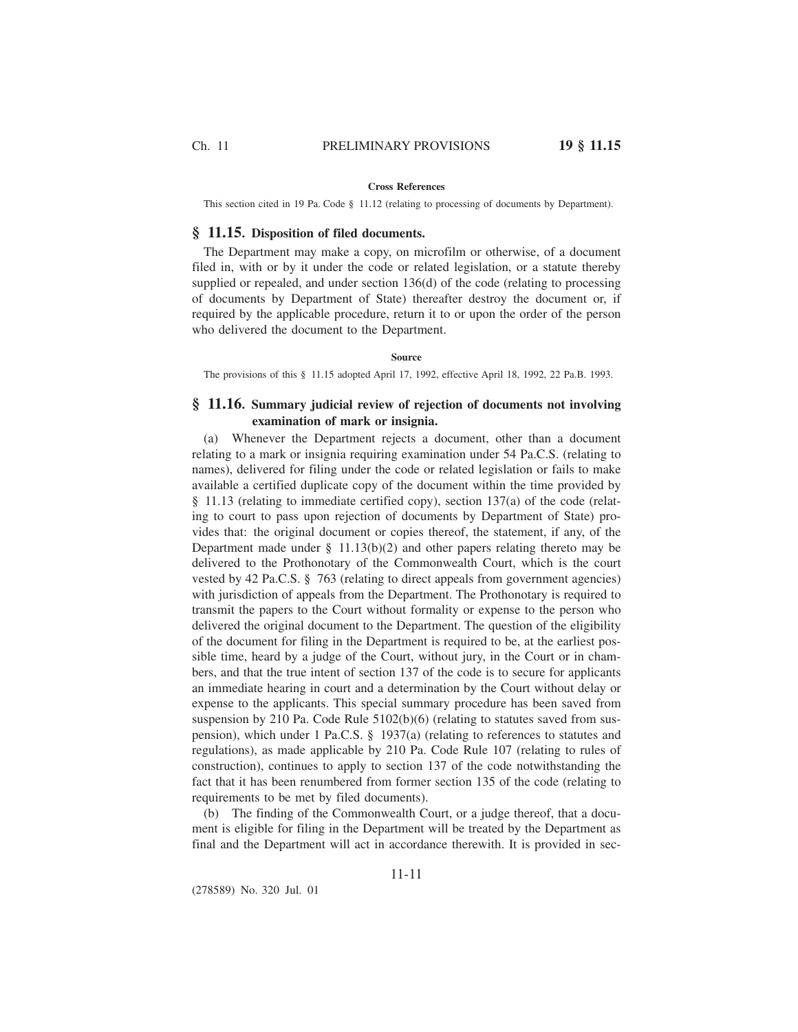#### **Cross References**

This section cited in 19 Pa. Code § 11.12 (relating to processing of documents by Department).

## **§ 11.15. Disposition of filed documents.**

The Department may make a copy, on microfilm or otherwise, of a document filed in, with or by it under the code or related legislation, or a statute thereby supplied or repealed, and under section 136(d) of the code (relating to processing of documents by Department of State) thereafter destroy the document or, if required by the applicable procedure, return it to or upon the order of the person who delivered the document to the Department.

**Source**

The provisions of this § 11.15 adopted April 17, 1992, effective April 18, 1992, 22 Pa.B. 1993.

# **§ 11.16. Summary judicial review of rejection of documents not involving examination of mark or insignia.**

(a) Whenever the Department rejects a document, other than a document relating to a mark or insignia requiring examination under 54 Pa.C.S. (relating to names), delivered for filing under the code or related legislation or fails to make available a certified duplicate copy of the document within the time provided by § 11.13 (relating to immediate certified copy), section 137(a) of the code (relating to court to pass upon rejection of documents by Department of State) provides that: the original document or copies thereof, the statement, if any, of the Department made under  $\S$  11.13(b)(2) and other papers relating thereto may be delivered to the Prothonotary of the Commonwealth Court, which is the court vested by 42 Pa.C.S. § 763 (relating to direct appeals from government agencies) with jurisdiction of appeals from the Department. The Prothonotary is required to transmit the papers to the Court without formality or expense to the person who delivered the original document to the Department. The question of the eligibility of the document for filing in the Department is required to be, at the earliest possible time, heard by a judge of the Court, without jury, in the Court or in chambers, and that the true intent of section 137 of the code is to secure for applicants an immediate hearing in court and a determination by the Court without delay or expense to the applicants. This special summary procedure has been saved from suspension by 210 Pa. Code Rule 5102(b)(6) (relating to statutes saved from suspension), which under 1 Pa.C.S. § 1937(a) (relating to references to statutes and regulations), as made applicable by 210 Pa. Code Rule 107 (relating to rules of construction), continues to apply to section 137 of the code notwithstanding the fact that it has been renumbered from former section 135 of the code (relating to requirements to be met by filed documents).

(b) The finding of the Commonwealth Court, or a judge thereof, that a document is eligible for filing in the Department will be treated by the Department as final and the Department will act in accordance therewith. It is provided in sec-

11-11

(278589) No. 320 Jul. 01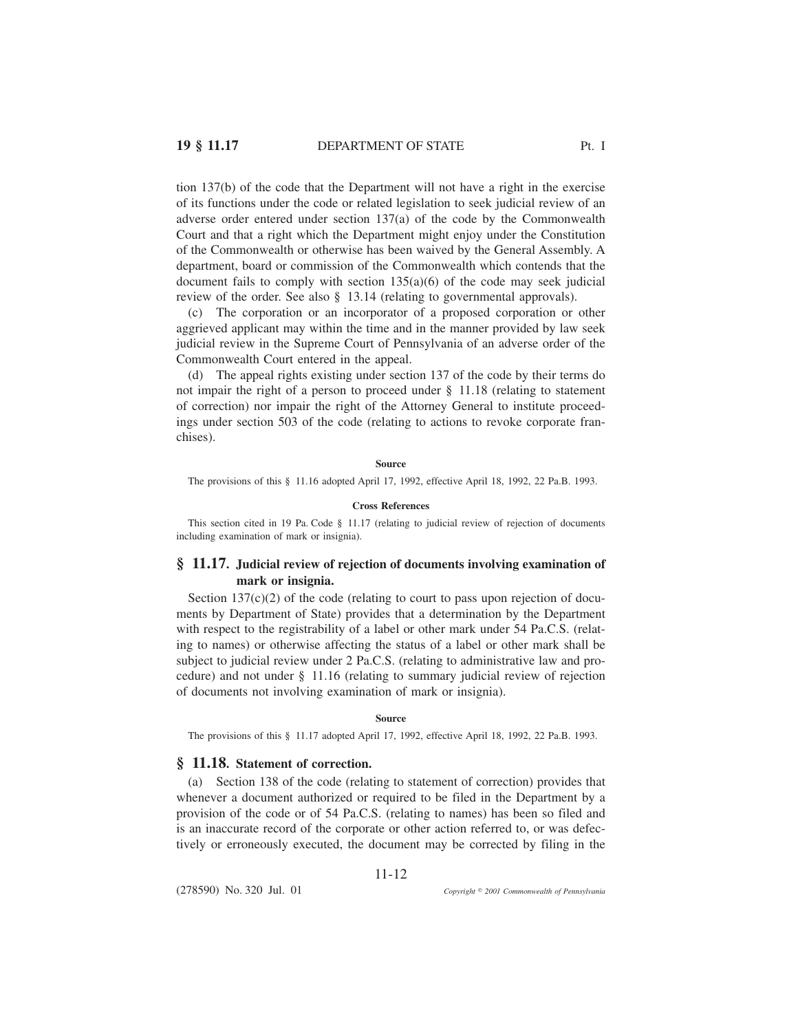tion 137(b) of the code that the Department will not have a right in the exercise of its functions under the code or related legislation to seek judicial review of an adverse order entered under section 137(a) of the code by the Commonwealth

Court and that a right which the Department might enjoy under the Constitution of the Commonwealth or otherwise has been waived by the General Assembly. A department, board or commission of the Commonwealth which contends that the document fails to comply with section  $135(a)(6)$  of the code may seek judicial review of the order. See also § 13.14 (relating to governmental approvals).

(c) The corporation or an incorporator of a proposed corporation or other aggrieved applicant may within the time and in the manner provided by law seek judicial review in the Supreme Court of Pennsylvania of an adverse order of the Commonwealth Court entered in the appeal.

(d) The appeal rights existing under section 137 of the code by their terms do not impair the right of a person to proceed under § 11.18 (relating to statement of correction) nor impair the right of the Attorney General to institute proceedings under section 503 of the code (relating to actions to revoke corporate franchises).

## **Source**

The provisions of this § 11.16 adopted April 17, 1992, effective April 18, 1992, 22 Pa.B. 1993.

## **Cross References**

This section cited in 19 Pa. Code § 11.17 (relating to judicial review of rejection of documents including examination of mark or insignia).

## **§ 11.17. Judicial review of rejection of documents involving examination of mark or insignia.**

Section  $137(c)(2)$  of the code (relating to court to pass upon rejection of documents by Department of State) provides that a determination by the Department with respect to the registrability of a label or other mark under 54 Pa.C.S. (relating to names) or otherwise affecting the status of a label or other mark shall be subject to judicial review under 2 Pa.C.S. (relating to administrative law and procedure) and not under § 11.16 (relating to summary judicial review of rejection of documents not involving examination of mark or insignia).

#### **Source**

The provisions of this § 11.17 adopted April 17, 1992, effective April 18, 1992, 22 Pa.B. 1993.

## **§ 11.18. Statement of correction.**

(a) Section 138 of the code (relating to statement of correction) provides that whenever a document authorized or required to be filed in the Department by a provision of the code or of 54 Pa.C.S. (relating to names) has been so filed and is an inaccurate record of the corporate or other action referred to, or was defectively or erroneously executed, the document may be corrected by filing in the

11-12

(278590) No. 320 Jul. 01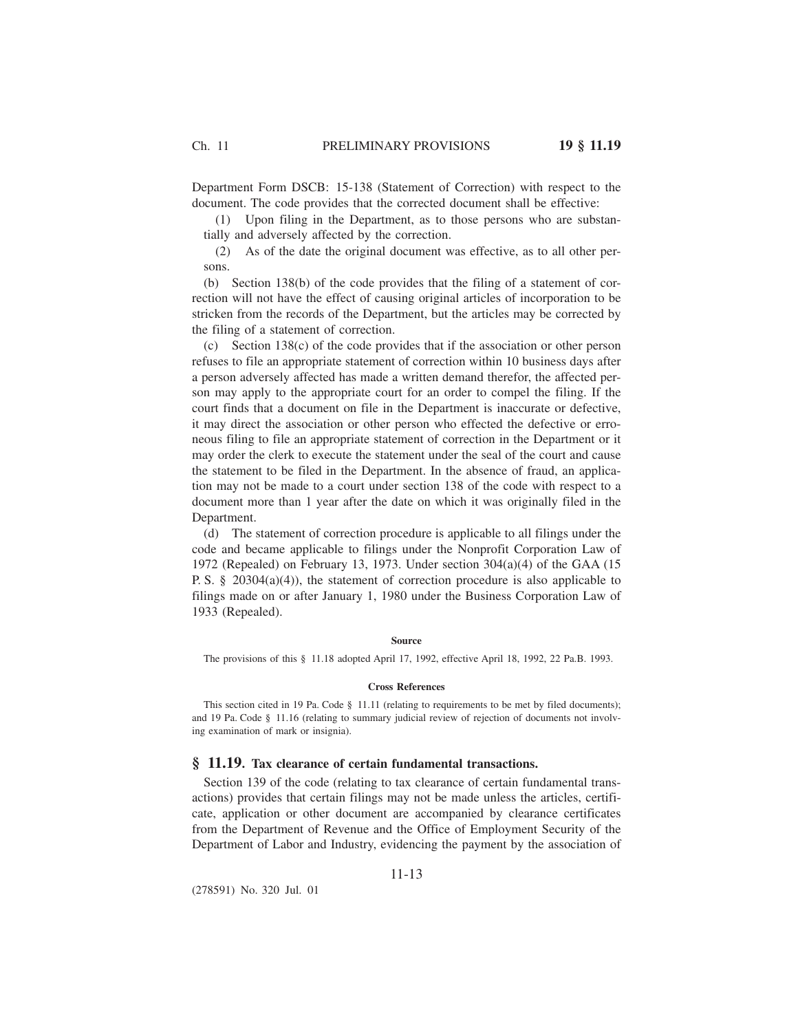Department Form DSCB: 15-138 (Statement of Correction) with respect to the document. The code provides that the corrected document shall be effective:

(1) Upon filing in the Department, as to those persons who are substantially and adversely affected by the correction.

(2) As of the date the original document was effective, as to all other persons.

(b) Section 138(b) of the code provides that the filing of a statement of correction will not have the effect of causing original articles of incorporation to be stricken from the records of the Department, but the articles may be corrected by the filing of a statement of correction.

(c) Section 138(c) of the code provides that if the association or other person refuses to file an appropriate statement of correction within 10 business days after a person adversely affected has made a written demand therefor, the affected person may apply to the appropriate court for an order to compel the filing. If the court finds that a document on file in the Department is inaccurate or defective, it may direct the association or other person who effected the defective or erroneous filing to file an appropriate statement of correction in the Department or it may order the clerk to execute the statement under the seal of the court and cause the statement to be filed in the Department. In the absence of fraud, an application may not be made to a court under section 138 of the code with respect to a document more than 1 year after the date on which it was originally filed in the Department.

(d) The statement of correction procedure is applicable to all filings under the code and became applicable to filings under the Nonprofit Corporation Law of 1972 (Repealed) on February 13, 1973. Under section 304(a)(4) of the GAA (15 P. S. § 20304(a)(4)), the statement of correction procedure is also applicable to filings made on or after January 1, 1980 under the Business Corporation Law of 1933 (Repealed).

#### **Source**

The provisions of this § 11.18 adopted April 17, 1992, effective April 18, 1992, 22 Pa.B. 1993.

#### **Cross References**

This section cited in 19 Pa. Code § 11.11 (relating to requirements to be met by filed documents); and 19 Pa. Code § 11.16 (relating to summary judicial review of rejection of documents not involving examination of mark or insignia).

## **§ 11.19. Tax clearance of certain fundamental transactions.**

Section 139 of the code (relating to tax clearance of certain fundamental transactions) provides that certain filings may not be made unless the articles, certificate, application or other document are accompanied by clearance certificates from the Department of Revenue and the Office of Employment Security of the Department of Labor and Industry, evidencing the payment by the association of

11-13

(278591) No. 320 Jul. 01